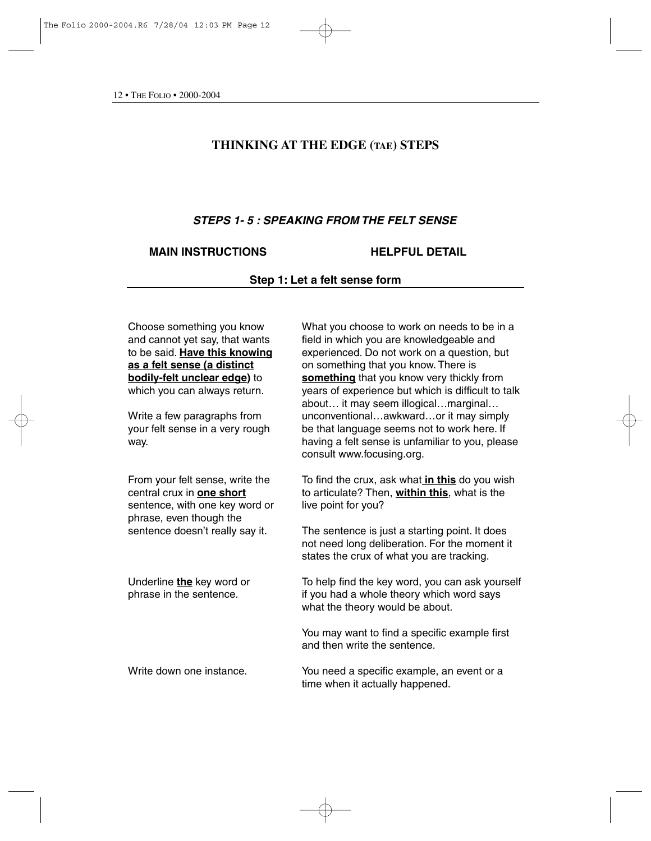# **THINKING AT THE EDGE (TAE) STEPS**

# *STEPS 1- 5 : SPEAKING FROM THE FELT SENSE*

## **MAIN INSTRUCTIONS HELPFUL DETAIL**

**Step 1: Let a felt sense form**

Choose something you know and cannot yet say, that wants to be said. **Have this knowing as a felt sense (a distinct bodily-felt unclear edge)** to which you can always return.

Write a few paragraphs from your felt sense in a very rough way.

From your felt sense, write the central crux in **one short** sentence, with one key word or phrase, even though the sentence doesn't really say it.

Underline **the** key word or phrase in the sentence.

What you choose to work on needs to be in a field in which you are knowledgeable and experienced. Do not work on a question, but on something that you know. There is **something** that you know very thickly from years of experience but which is difficult to talk about… it may seem illogical…marginal… unconventional…awkward…or it may simply be that language seems not to work here. If having a felt sense is unfamiliar to you, please consult www.focusing.org.

To find the crux, ask what **in this** do you wish to articulate? Then, **within this**, what is the live point for you?

The sentence is just a starting point. It does not need long deliberation. For the moment it states the crux of what you are tracking.

To help find the key word, you can ask yourself if you had a whole theory which word says what the theory would be about.

You may want to find a specific example first and then write the sentence.

Write down one instance. You need a specific example, an event or a time when it actually happened.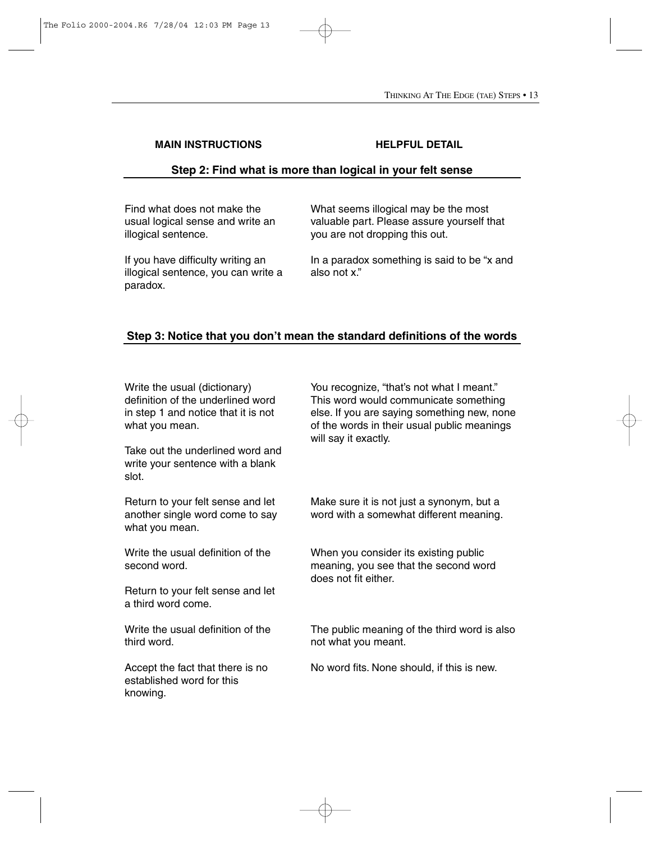# **Step 2: Find what is more than logical in your felt sense**

Find what does not make the usual logical sense and write an illogical sentence.

If you have difficulty writing an illogical sentence, you can write a paradox.

What seems illogical may be the most valuable part. Please assure yourself that you are not dropping this out.

In a paradox something is said to be "x and also not x."

# **Step 3: Notice that you don't mean the standard definitions of the words**

Write the usual (dictionary) definition of the underlined word in step 1 and notice that it is not what you mean.

Take out the underlined word and write your sentence with a blank slot.

Return to your felt sense and let another single word come to say what you mean.

Write the usual definition of the second word.

Return to your felt sense and let a third word come.

Write the usual definition of the third word.

Accept the fact that there is no established word for this knowing.

You recognize, "that's not what I meant." This word would communicate something else. If you are saying something new, none of the words in their usual public meanings will say it exactly.

Make sure it is not just a synonym, but a word with a somewhat different meaning.

When you consider its existing public meaning, you see that the second word does not fit either.

The public meaning of the third word is also not what you meant.

No word fits. None should, if this is new.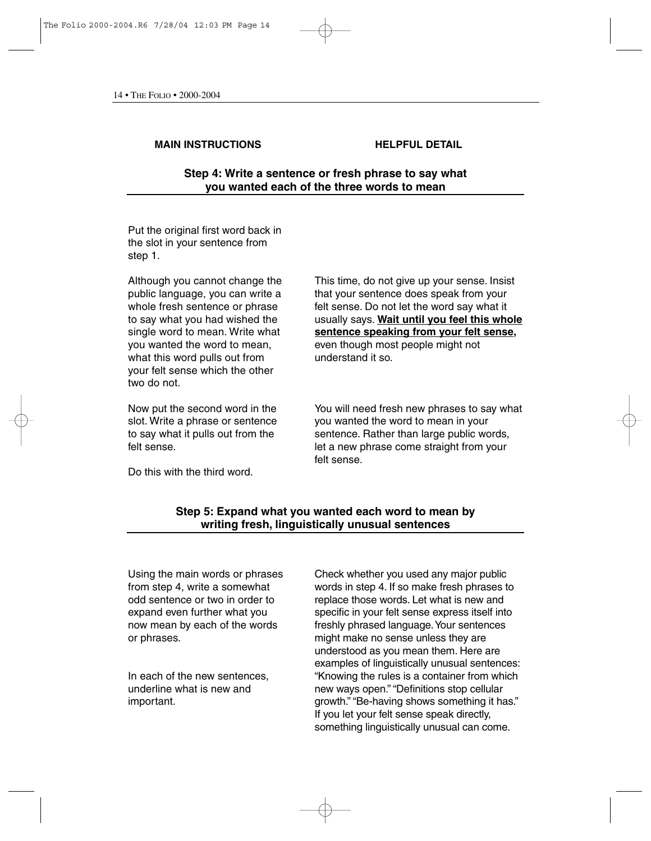**Step 4: Write a sentence or fresh phrase to say what you wanted each of the three words to mean**

Put the original first word back in the slot in your sentence from step 1.

Although you cannot change the public language, you can write a whole fresh sentence or phrase to say what you had wished the single word to mean. Write what you wanted the word to mean, what this word pulls out from your felt sense which the other two do not.

Now put the second word in the slot. Write a phrase or sentence to say what it pulls out from the felt sense.

Do this with the third word.

This time, do not give up your sense. Insist that your sentence does speak from your felt sense. Do not let the word say what it usually says. **Wait until you feel this whole sentence speaking from your felt sense,** even though most people might not understand it so.

You will need fresh new phrases to say what you wanted the word to mean in your sentence. Rather than large public words, let a new phrase come straight from your felt sense.

# **Step 5: Expand what you wanted each word to mean by writing fresh, linguistically unusual sentences**

Using the main words or phrases from step 4, write a somewhat odd sentence or two in order to expand even further what you now mean by each of the words or phrases.

In each of the new sentences, underline what is new and important.

Check whether you used any major public words in step 4. If so make fresh phrases to replace those words. Let what is new and specific in your felt sense express itself into freshly phrased language.Your sentences might make no sense unless they are understood as you mean them. Here are examples of linguistically unusual sentences: "Knowing the rules is a container from which new ways open." "Definitions stop cellular growth." "Be-having shows something it has." If you let your felt sense speak directly, something linguistically unusual can come.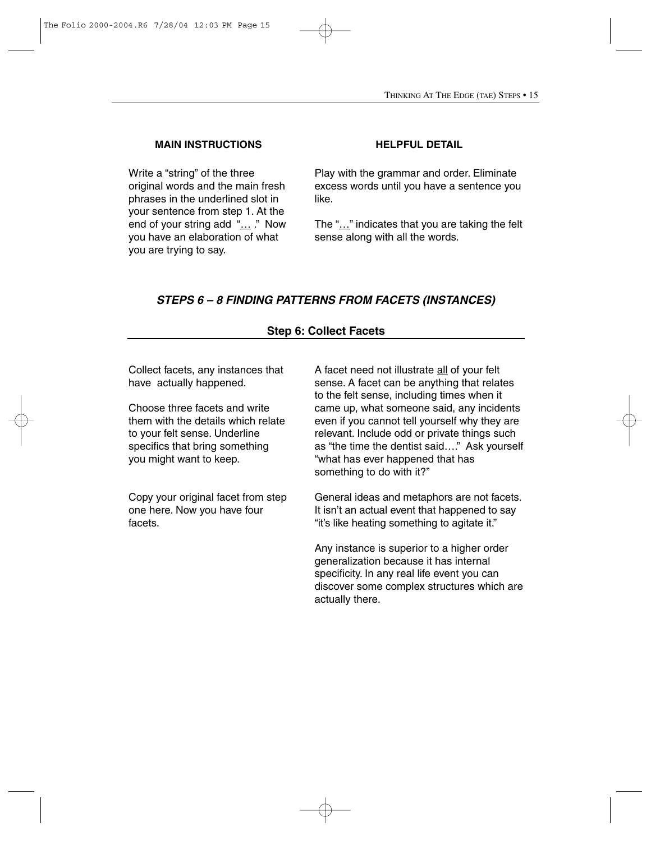Write a "string" of the three original words and the main fresh phrases in the underlined slot in your sentence from step 1. At the end of your string add "... ." Now you have an elaboration of what you are trying to say.

Play with the grammar and order. Eliminate excess words until you have a sentence you like.

The "…" indicates that you are taking the felt sense along with all the words.

# *STEPS 6 – 8 FINDING PATTERNS FROM FACETS (INSTANCES)*

## **Step 6: Collect Facets**

Collect facets, any instances that have actually happened.

Choose three facets and write them with the details which relate to your felt sense. Underline specifics that bring something you might want to keep.

Copy your original facet from step one here. Now you have four facets.

A facet need not illustrate all of your felt sense. A facet can be anything that relates to the felt sense, including times when it came up, what someone said, any incidents even if you cannot tell yourself why they are relevant. Include odd or private things such as "the time the dentist said…." Ask yourself "what has ever happened that has something to do with it?"

General ideas and metaphors are not facets. It isn't an actual event that happened to say "it's like heating something to agitate it."

Any instance is superior to a higher order generalization because it has internal specificity. In any real life event you can discover some complex structures which are actually there.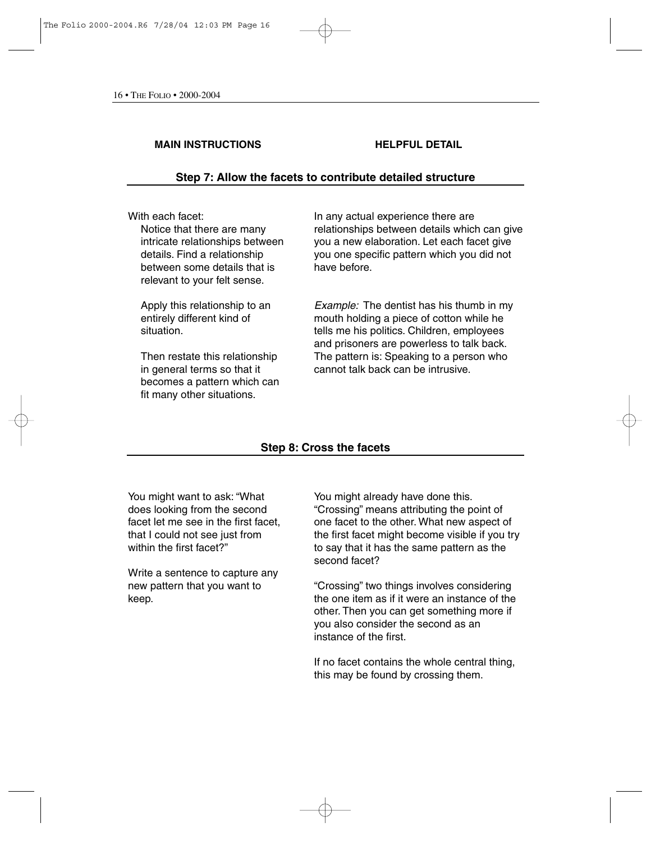## **Step 7: Allow the facets to contribute detailed structure**

### With each facet:

Notice that there are many intricate relationships between details. Find a relationship between some details that is relevant to your felt sense.

Apply this relationship to an entirely different kind of situation.

Then restate this relationship in general terms so that it becomes a pattern which can fit many other situations.

In any actual experience there are relationships between details which can give you a new elaboration. Let each facet give you one specific pattern which you did not have before.

*Example:* The dentist has his thumb in my mouth holding a piece of cotton while he tells me his politics. Children, employees and prisoners are powerless to talk back. The pattern is: Speaking to a person who cannot talk back can be intrusive.

## **Step 8: Cross the facets**

You might want to ask: "What does looking from the second facet let me see in the first facet, that I could not see just from within the first facet?"

Write a sentence to capture any new pattern that you want to keep.

You might already have done this. "Crossing" means attributing the point of one facet to the other. What new aspect of the first facet might become visible if you try to say that it has the same pattern as the second facet?

"Crossing" two things involves considering the one item as if it were an instance of the other. Then you can get something more if you also consider the second as an instance of the first.

If no facet contains the whole central thing, this may be found by crossing them.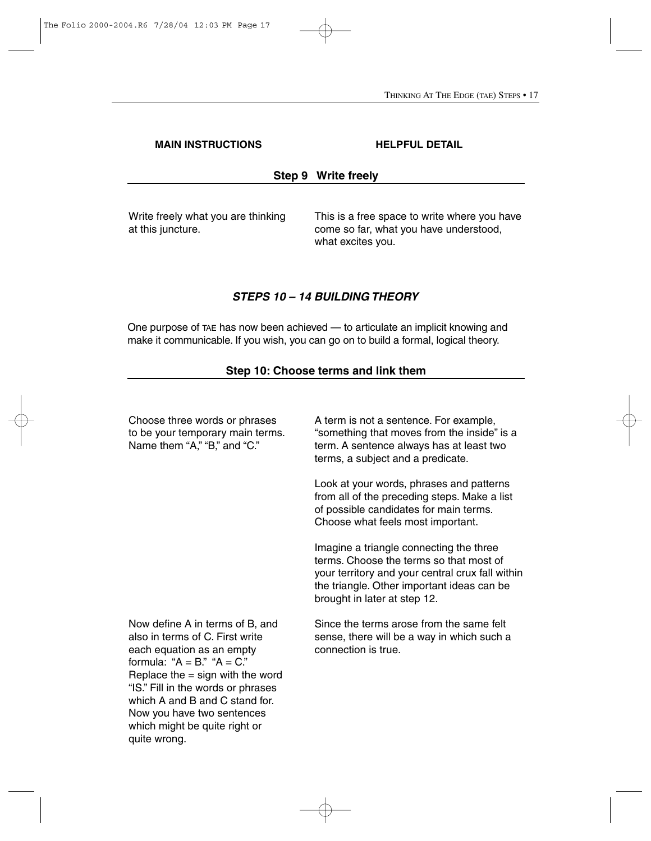# **Step 9 Write freely**

Write freely what you are thinking at this juncture.

This is a free space to write where you have come so far, what you have understood, what excites you.

# *STEPS 10 – 14 BUILDING THEORY*

One purpose of TAE has now been achieved — to articulate an implicit knowing and make it communicable. If you wish, you can go on to build a formal, logical theory.

# **Step 10: Choose terms and link them**

| Choose three words or phrases<br>to be your temporary main terms.<br>Name them "A," "B," and "C."                                                                                                                                                                                                                                  | A term is not a sentence. For example,<br>"something that moves from the inside" is a<br>term. A sentence always has at least two<br>terms, a subject and a predicate.                                               |
|------------------------------------------------------------------------------------------------------------------------------------------------------------------------------------------------------------------------------------------------------------------------------------------------------------------------------------|----------------------------------------------------------------------------------------------------------------------------------------------------------------------------------------------------------------------|
|                                                                                                                                                                                                                                                                                                                                    | Look at your words, phrases and patterns<br>from all of the preceding steps. Make a list<br>of possible candidates for main terms.<br>Choose what feels most important.                                              |
|                                                                                                                                                                                                                                                                                                                                    | Imagine a triangle connecting the three<br>terms. Choose the terms so that most of<br>your territory and your central crux fall within<br>the triangle. Other important ideas can be<br>brought in later at step 12. |
| Now define A in terms of B, and<br>also in terms of C. First write<br>each equation as an empty<br>formula: " $A = B$ ." " $A = C$ ."<br>Replace the $=$ sign with the word<br>"IS." Fill in the words or phrases<br>which A and B and C stand for.<br>Now you have two sentences<br>which might be quite right or<br>quite wrong. | Since the terms arose from the same felt<br>sense, there will be a way in which such a<br>connection is true.                                                                                                        |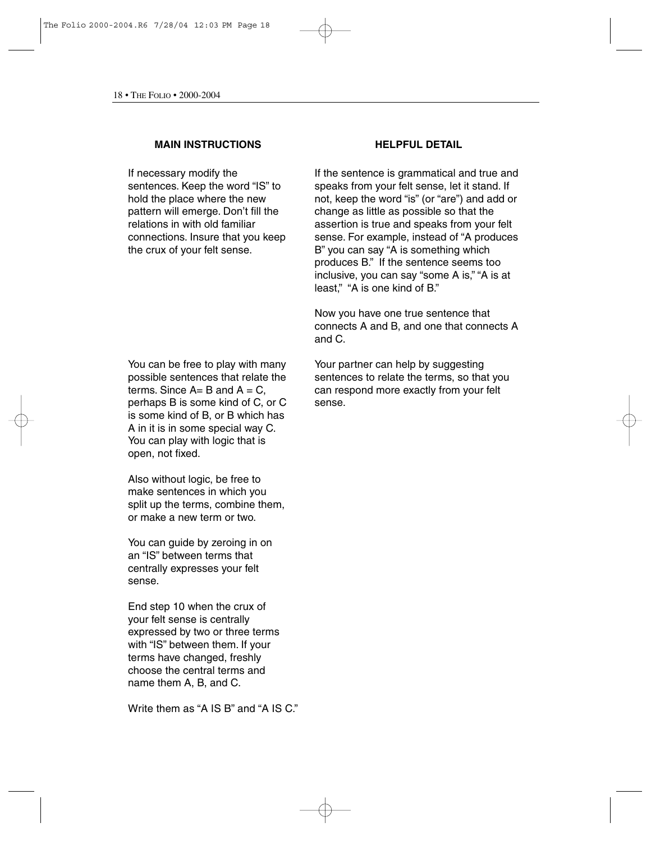If necessary modify the sentences. Keep the word "IS" to hold the place where the new pattern will emerge. Don't fill the relations in with old familiar connections. Insure that you keep the crux of your felt sense.

You can be free to play with many possible sentences that relate the terms. Since  $A = B$  and  $A = C$ . perhaps B is some kind of C, or C is some kind of B, or B which has A in it is in some special way C. You can play with logic that is open, not fixed.

Also without logic, be free to make sentences in which you split up the terms, combine them, or make a new term or two.

You can guide by zeroing in on an "IS" between terms that centrally expresses your felt sense.

End step 10 when the crux of your felt sense is centrally expressed by two or three terms with "IS" between them. If your terms have changed, freshly choose the central terms and name them A, B, and C.

Write them as "A IS B" and "A IS C"

If the sentence is grammatical and true and speaks from your felt sense, let it stand. If not, keep the word "is" (or "are") and add or change as little as possible so that the assertion is true and speaks from your felt sense. For example, instead of "A produces B" you can say "A is something which produces B." If the sentence seems too inclusive, you can say "some A is," "A is at least," "A is one kind of B."

Now you have one true sentence that connects A and B, and one that connects A and C.

Your partner can help by suggesting sentences to relate the terms, so that you can respond more exactly from your felt sense.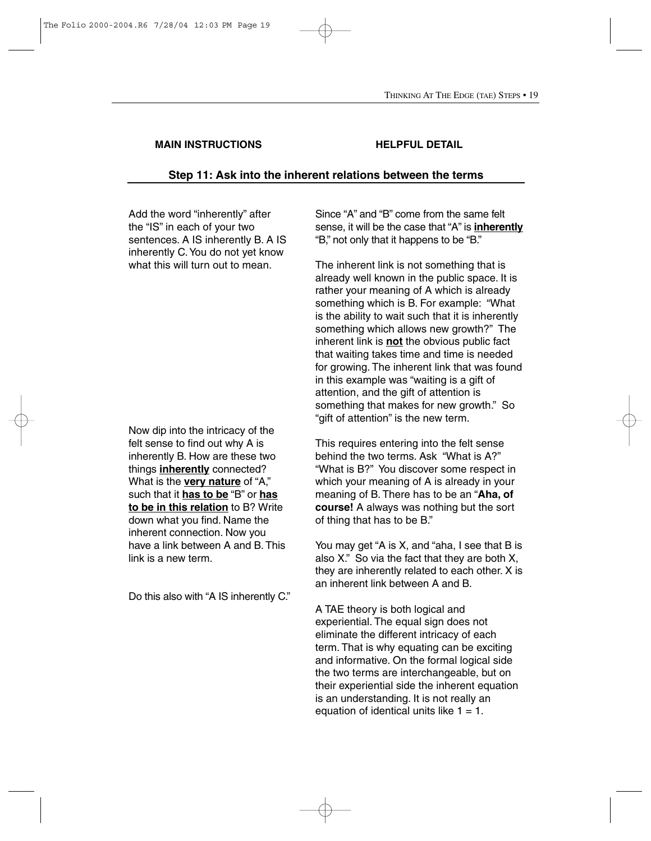## **Step 11: Ask into the inherent relations between the terms**

Add the word "inherently" after the "IS" in each of your two sentences. A IS inherently B. A IS inherently C.You do not yet know what this will turn out to mean.

Now dip into the intricacy of the felt sense to find out why A is inherently B. How are these two things **inherently** connected? What is the **very nature** of "A," such that it **has to be** "B" or **has to be in this relation** to B? Write down what you find. Name the inherent connection. Now you have a link between A and B. This link is a new term.

Do this also with "A IS inherently C."

Since "A" and "B" come from the same felt sense, it will be the case that "A" is **inherently** "B," not only that it happens to be "B."

The inherent link is not something that is already well known in the public space. It is rather your meaning of A which is already something which is B. For example: "What is the ability to wait such that it is inherently something which allows new growth?" The inherent link is **not** the obvious public fact that waiting takes time and time is needed for growing. The inherent link that was found in this example was "waiting is a gift of attention, and the gift of attention is something that makes for new growth." So "gift of attention" is the new term.

This requires entering into the felt sense behind the two terms. Ask "What is A?" "What is B?" You discover some respect in which your meaning of A is already in your meaning of B. There has to be an "**Aha, of course!** A always was nothing but the sort of thing that has to be B."

You may get "A is X, and "aha, I see that B is also X." So via the fact that they are both X, they are inherently related to each other. X is an inherent link between A and B.

A TAE theory is both logical and experiential. The equal sign does not eliminate the different intricacy of each term. That is why equating can be exciting and informative. On the formal logical side the two terms are interchangeable, but on their experiential side the inherent equation is an understanding. It is not really an equation of identical units like  $1 = 1$ .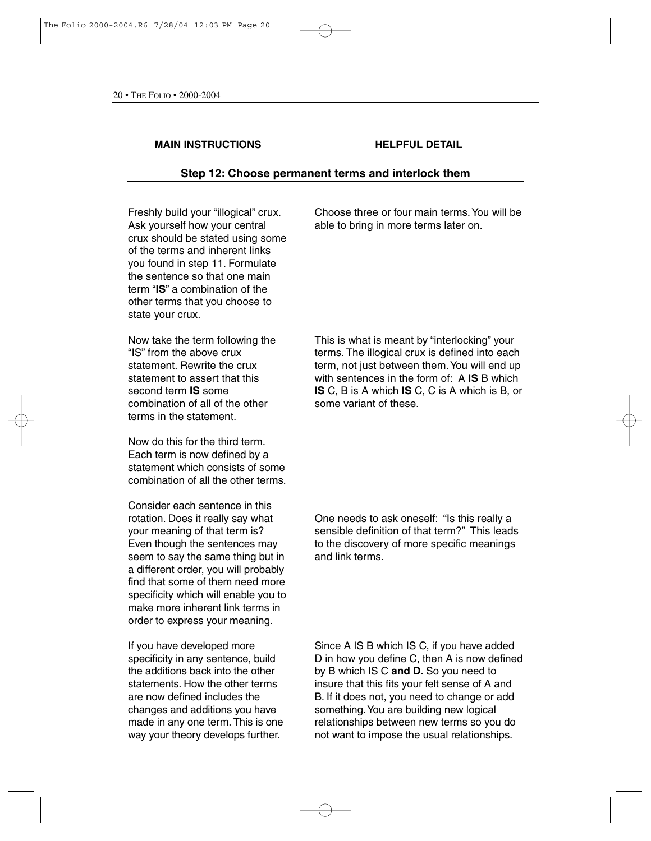### **Step 12: Choose permanent terms and interlock them**

Freshly build your "illogical" crux. Ask yourself how your central crux should be stated using some of the terms and inherent links you found in step 11. Formulate the sentence so that one main term "**IS**" a combination of the other terms that you choose to state your crux.

Now take the term following the "IS" from the above crux statement. Rewrite the crux statement to assert that this second term **IS** some combination of all of the other terms in the statement.

Now do this for the third term. Each term is now defined by a statement which consists of some combination of all the other terms.

Consider each sentence in this rotation. Does it really say what your meaning of that term is? Even though the sentences may seem to say the same thing but in a different order, you will probably find that some of them need more specificity which will enable you to make more inherent link terms in order to express your meaning.

If you have developed more specificity in any sentence, build the additions back into the other statements. How the other terms are now defined includes the changes and additions you have made in any one term. This is one way your theory develops further.

Choose three or four main terms.You will be able to bring in more terms later on.

This is what is meant by "interlocking" your terms. The illogical crux is defined into each term, not just between them.You will end up with sentences in the form of: A **IS** B which **IS** C, B is A which **IS** C, C is A which is B, or some variant of these.

One needs to ask oneself: "Is this really a sensible definition of that term?" This leads to the discovery of more specific meanings and link terms.

Since A IS B which IS C, if you have added D in how you define C, then A is now defined by B which IS C **and D.** So you need to insure that this fits your felt sense of A and B. If it does not, you need to change or add something.You are building new logical relationships between new terms so you do not want to impose the usual relationships.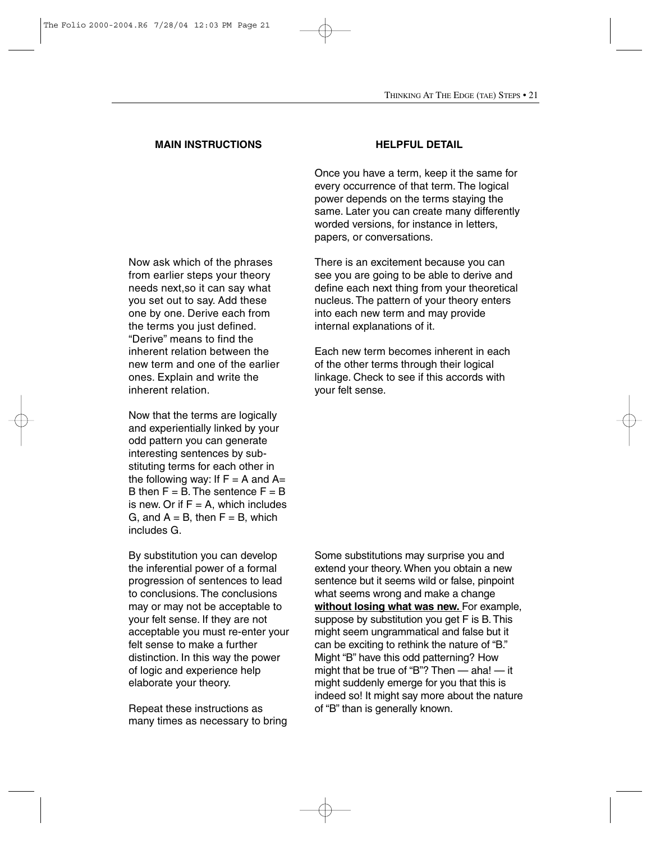Now ask which of the phrases from earlier steps your theory needs next,so it can say what you set out to say. Add these one by one. Derive each from the terms you just defined. "Derive" means to find the inherent relation between the new term and one of the earlier ones. Explain and write the inherent relation.

Now that the terms are logically and experientially linked by your odd pattern you can generate interesting sentences by substituting terms for each other in the following way: If  $F = A$  and  $A=$ B then  $F = B$ . The sentence  $F = B$ . is new. Or if  $F = A$ , which includes G, and  $A = B$ , then  $F = B$ , which includes G.

By substitution you can develop the inferential power of a formal progression of sentences to lead to conclusions. The conclusions may or may not be acceptable to your felt sense. If they are not acceptable you must re-enter your felt sense to make a further distinction. In this way the power of logic and experience help elaborate your theory.

Repeat these instructions as many times as necessary to bring

Once you have a term, keep it the same for every occurrence of that term. The logical power depends on the terms staying the same. Later you can create many differently worded versions, for instance in letters, papers, or conversations.

There is an excitement because you can see you are going to be able to derive and define each next thing from your theoretical nucleus. The pattern of your theory enters into each new term and may provide internal explanations of it.

Each new term becomes inherent in each of the other terms through their logical linkage. Check to see if this accords with your felt sense.

Some substitutions may surprise you and extend your theory. When you obtain a new sentence but it seems wild or false, pinpoint what seems wrong and make a change **without losing what was new.** For example, suppose by substitution you get F is B. This might seem ungrammatical and false but it can be exciting to rethink the nature of "B." Might "B" have this odd patterning? How might that be true of "B"? Then — aha! — it might suddenly emerge for you that this is indeed so! It might say more about the nature of "B" than is generally known.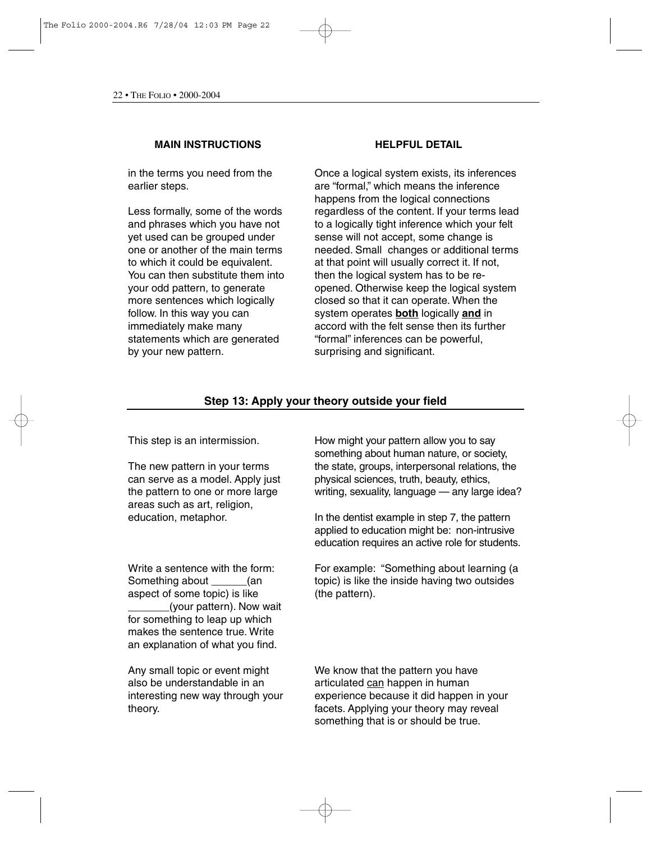in the terms you need from the earlier steps.

Less formally, some of the words and phrases which you have not yet used can be grouped under one or another of the main terms to which it could be equivalent. You can then substitute them into your odd pattern, to generate more sentences which logically follow. In this way you can immediately make many statements which are generated by your new pattern.

Once a logical system exists, its inferences are "formal," which means the inference happens from the logical connections regardless of the content. If your terms lead to a logically tight inference which your felt sense will not accept, some change is needed. Small changes or additional terms at that point will usually correct it. If not, then the logical system has to be reopened. Otherwise keep the logical system closed so that it can operate. When the system operates **both** logically **and** in accord with the felt sense then its further "formal" inferences can be powerful, surprising and significant.

## **Step 13: Apply your theory outside your field**

This step is an intermission.

The new pattern in your terms can serve as a model. Apply just the pattern to one or more large areas such as art, religion, education, metaphor.

Write a sentence with the form: Something about  $\qquad \qquad$  (an aspect of some topic) is like (your pattern). Now wait for something to leap up which makes the sentence true. Write an explanation of what you find.

Any small topic or event might also be understandable in an interesting new way through your theory.

How might your pattern allow you to say something about human nature, or society, the state, groups, interpersonal relations, the physical sciences, truth, beauty, ethics, writing, sexuality, language — any large idea?

In the dentist example in step 7, the pattern applied to education might be: non-intrusive education requires an active role for students.

For example: "Something about learning (a topic) is like the inside having two outsides (the pattern).

We know that the pattern you have articulated can happen in human experience because it did happen in your facets. Applying your theory may reveal something that is or should be true.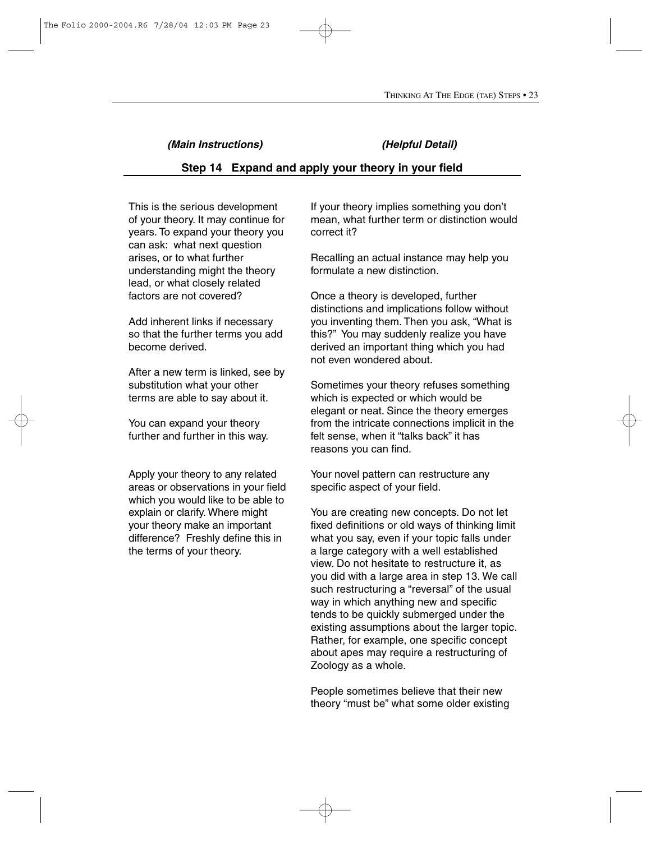### *(Main Instructions) (Helpful Detail)*

## **Step 14 Expand and apply your theory in your field**

This is the serious development of your theory. It may continue for years. To expand your theory you can ask: what next question arises, or to what further understanding might the theory lead, or what closely related factors are not covered?

Add inherent links if necessary so that the further terms you add become derived.

After a new term is linked, see by substitution what your other terms are able to say about it.

You can expand your theory further and further in this way.

Apply your theory to any related areas or observations in your field which you would like to be able to explain or clarify. Where might your theory make an important difference? Freshly define this in the terms of your theory.

If your theory implies something you don't mean, what further term or distinction would correct it?

Recalling an actual instance may help you formulate a new distinction.

Once a theory is developed, further distinctions and implications follow without you inventing them. Then you ask, "What is this?" You may suddenly realize you have derived an important thing which you had not even wondered about.

Sometimes your theory refuses something which is expected or which would be elegant or neat. Since the theory emerges from the intricate connections implicit in the felt sense, when it "talks back" it has reasons you can find.

Your novel pattern can restructure any specific aspect of your field.

You are creating new concepts. Do not let fixed definitions or old ways of thinking limit what you say, even if your topic falls under a large category with a well established view. Do not hesitate to restructure it, as you did with a large area in step 13. We call such restructuring a "reversal" of the usual way in which anything new and specific tends to be quickly submerged under the existing assumptions about the larger topic. Rather, for example, one specific concept about apes may require a restructuring of Zoology as a whole.

People sometimes believe that their new theory "must be" what some older existing